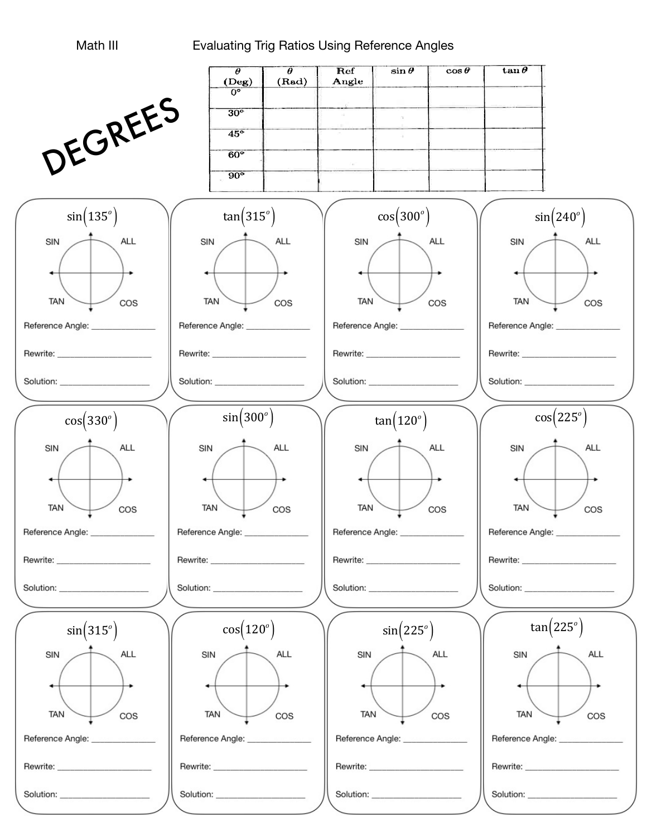## Math III **Evaluating Trig Ratios Using Reference Angles**

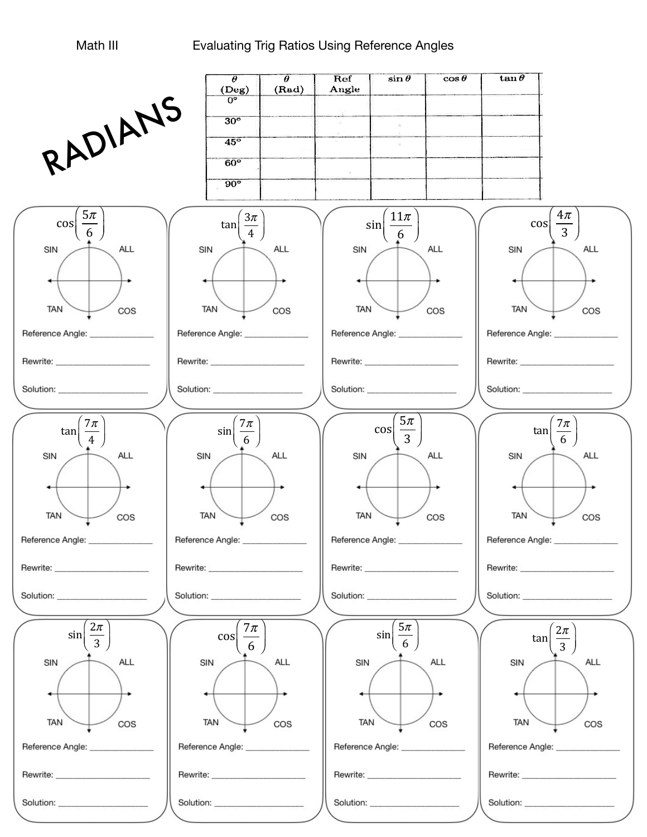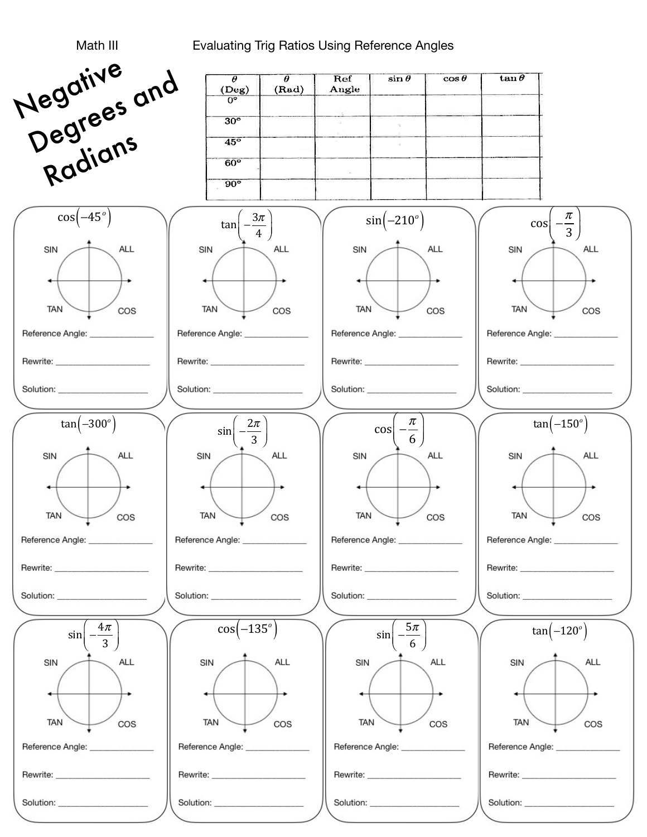## Evaluating Trig Ratios Using Reference Angles